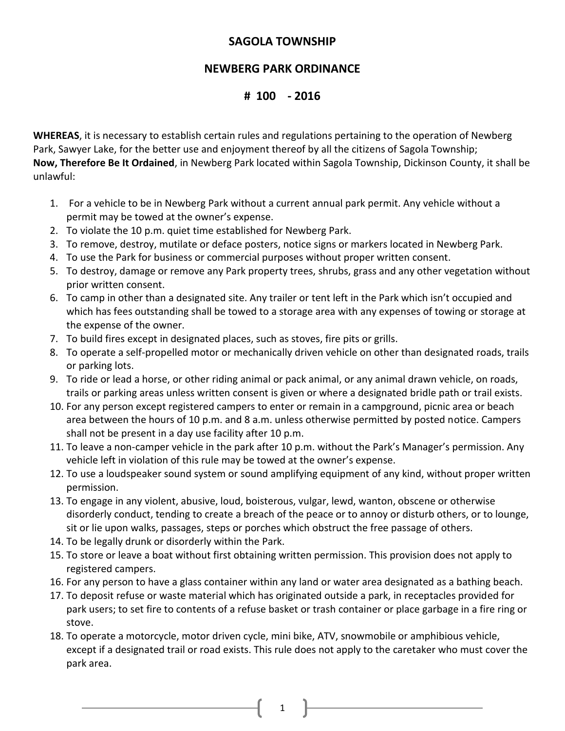## **SAGOLA TOWNSHIP**

## **NEWBERG PARK ORDINANCE**

## **# 100 - 2016**

**WHEREAS**, it is necessary to establish certain rules and regulations pertaining to the operation of Newberg Park, Sawyer Lake, for the better use and enjoyment thereof by all the citizens of Sagola Township; **Now, Therefore Be It Ordained**, in Newberg Park located within Sagola Township, Dickinson County, it shall be unlawful:

- 1. For a vehicle to be in Newberg Park without a current annual park permit. Any vehicle without a permit may be towed at the owner's expense.
- 2. To violate the 10 p.m. quiet time established for Newberg Park.
- 3. To remove, destroy, mutilate or deface posters, notice signs or markers located in Newberg Park.
- 4. To use the Park for business or commercial purposes without proper written consent.
- 5. To destroy, damage or remove any Park property trees, shrubs, grass and any other vegetation without prior written consent.
- 6. To camp in other than a designated site. Any trailer or tent left in the Park which isn't occupied and which has fees outstanding shall be towed to a storage area with any expenses of towing or storage at the expense of the owner.
- 7. To build fires except in designated places, such as stoves, fire pits or grills.
- 8. To operate a self-propelled motor or mechanically driven vehicle on other than designated roads, trails or parking lots.
- 9. To ride or lead a horse, or other riding animal or pack animal, or any animal drawn vehicle, on roads, trails or parking areas unless written consent is given or where a designated bridle path or trail exists.
- 10. For any person except registered campers to enter or remain in a campground, picnic area or beach area between the hours of 10 p.m. and 8 a.m. unless otherwise permitted by posted notice. Campers shall not be present in a day use facility after 10 p.m.
- 11. To leave a non-camper vehicle in the park after 10 p.m. without the Park's Manager's permission. Any vehicle left in violation of this rule may be towed at the owner's expense.
- 12. To use a loudspeaker sound system or sound amplifying equipment of any kind, without proper written permission.
- 13. To engage in any violent, abusive, loud, boisterous, vulgar, lewd, wanton, obscene or otherwise disorderly conduct, tending to create a breach of the peace or to annoy or disturb others, or to lounge, sit or lie upon walks, passages, steps or porches which obstruct the free passage of others.
- 14. To be legally drunk or disorderly within the Park.
- 15. To store or leave a boat without first obtaining written permission. This provision does not apply to registered campers.
- 16. For any person to have a glass container within any land or water area designated as a bathing beach.
- 17. To deposit refuse or waste material which has originated outside a park, in receptacles provided for park users; to set fire to contents of a refuse basket or trash container or place garbage in a fire ring or stove.
- 18. To operate a motorcycle, motor driven cycle, mini bike, ATV, snowmobile or amphibious vehicle, except if a designated trail or road exists. This rule does not apply to the caretaker who must cover the park area.

1